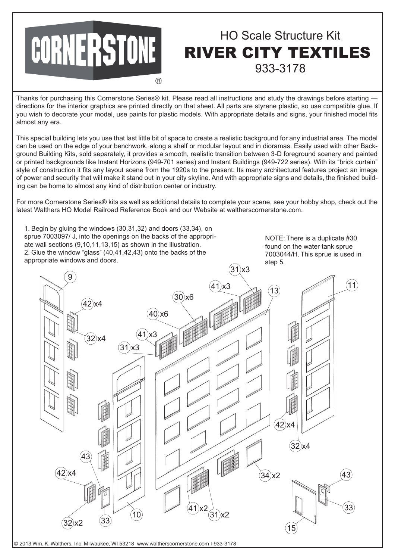

## HO Scale Structure Kit RIVER CITY TEXTILES 933-3178

Thanks for purchasing this Cornerstone Series® kit. Please read all instructions and study the drawings before starting directions for the interior graphics are printed directly on that sheet. All parts are styrene plastic, so use compatible glue. If you wish to decorate your model, use paints for plastic models. With appropriate details and signs, your finished model fits almost any era.

This special building lets you use that last little bit of space to create a realistic background for any industrial area. The model can be used on the edge of your benchwork, along a shelf or modular layout and in dioramas. Easily used with other Background Building Kits, sold separately, it provides a smooth, realistic transition between 3-D foreground scenery and painted or printed backgrounds like Instant Horizons (949-701 series) and Instant Buildings (949-722 series). With its "brick curtain" style of construction it fits any layout scene from the 1920s to the present. Its many architectural features project an image of power and security that will make it stand out in your city skyline. And with appropriate signs and details, the finished building can be home to almost any kind of distribution center or industry.

For more Cornerstone Series® kits as well as additional details to complete your scene, see your hobby shop, check out the latest Walthers HO Model Railroad Reference Book and our Website at waltherscornerstone.com.

1. Begin by gluing the windows (30,31,32) and doors (33,34), on sprue 7003097/ J, into the openings on the backs of the appropriate wall sections (9,10,11,13,15) as shown in the illustration. 2. Glue the window "glass" (40,41,42,43) onto the backs of the appropriate windows and doors.

NOTE: There is a duplicate #30 found on the water tank sprue 7003044/H. This sprue is used in step 5.



© 2013 Wm. K. Walthers, Inc. Milwaukee, WI 53218 www.waltherscornerstone.com I-933-3178